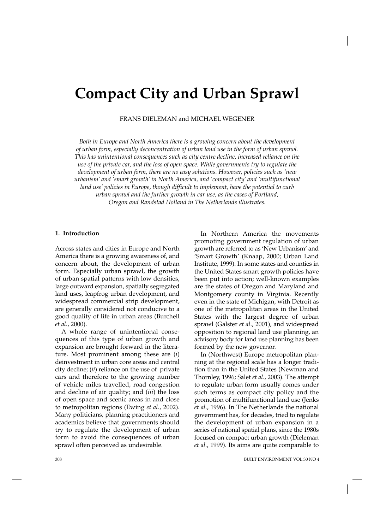# **Compact City and Urban Sprawl**

FRANS DIELEMAN and MICHAEL WEGENER

*Both in Europe and North America there is a growing concern about the development of urban form, especially deconcentration of urban land use in the form of urban sprawl. This has unintentional consequences such as city centre decline, increased reliance on the use of the private car, and the loss of open space. While governments try to regulate the development of urban form, there are no easy solutions. However, policies such as 'new urbanism' and 'smart growth' in North America, and 'compact city' and 'multifunctional land use' policies in Europe, though difficult to implement, have the potential to curb urban sprawl and the further growth in car use, as the cases of Portland, Oregon and Randstad Holland in The Netherlands illustrates.*

#### **1. Introduction**

Across states and cities in Europe and North America there is a growing awareness of, and concern about, the development of urban form. Especially urban sprawl, the growth of urban spatial patterns with low densities, large outward expansion, spatially segregated land uses, leapfrog urban development, and widespread commercial strip development, are generally considered not conducive to a good quality of life in urban areas (Burchell *et al*., 2000).

A whole range of unintentional consequences of this type of urban growth and expansion are brought forward in the literature. Most prominent among these are (*i*) deinvestment in urban core areas and central city decline; (*ii*) reliance on the use of private cars and therefore to the growing number of vehicle miles travelled, road congestion and decline of air quality; and (*iii*) the loss of open space and scenic areas in and close to metropolitan regions (Ewing *et al*., 2002). Many politicians, planning practitioners and academics believe that governments should try to regulate the development of urban form to avoid the consequences of urban sprawl often perceived as undesirable.

In Northern America the movements promoting government regulation of urban growth are referred to as 'New Urbanism' and 'Smart Growth' (Knaap, 2000; Urban Land Institute, 1999). In some states and counties in the United States smart growth policies have been put into action; well-known examples are the states of Oregon and Maryland and Montgomery county in Virginia. Recently even in the state of Michigan, with Detroit as one of the metropolitan areas in the United States with the largest degree of urban sprawl (Galster *et al*., 2001), and widespread opposition to regional land use planning, an advisory body for land use planning has been formed by the new governor.

In (Northwest) Europe metropolitan planning at the regional scale has a longer tradition than in the United States (Newman and Thornley, 1996; Salet *et al*., 2003). The attempt to regulate urban form usually comes under such terms as compact city policy and the promotion of multifunctional land use (Jenks *et al*., 1996). In The Netherlands the national government has, for decades, tried to regulate the development of urban expansion in a series of national spatial plans, since the 1980s focused on compact urban growth (Dieleman *et al*., 1999). Its aims are quite comparable to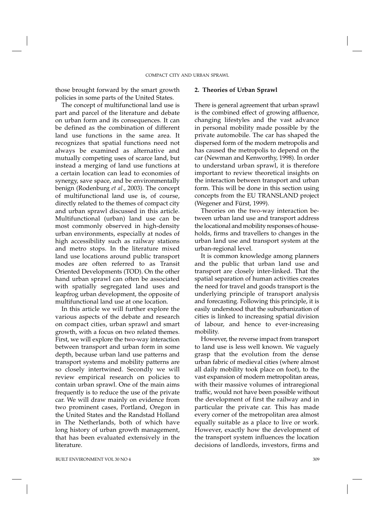those brought forward by the smart growth policies in some parts of the United States.

The concept of multifunctional land use is part and parcel of the literature and debate on urban form and its consequences. It can be defined as the combination of different land use functions in the same area. It recognizes that spatial functions need not always be examined as alternative and mutually competing uses of scarce land, but instead a merging of land use functions at a certain location can lead to economies of synergy, save space, and be environmentally benign (Rodenburg *et al*., 2003). The concept of multifunctional land use is, of course, directly related to the themes of compact city and urban sprawl discussed in this article. Multifunctional (urban) land use can be most commonly observed in high-density urban environments, especially at nodes of high accessibility such as railway stations and metro stops. In the literature mixed land use locations around public transport modes are often referred to as Transit Oriented Developments (TOD). On the other hand urban sprawl can often be associated with spatially segregated land uses and leapfrog urban development, the opposite of multifunctional land use at one location.

In this article we will further explore the various aspects of the debate and research on compact cities, urban sprawl and smart growth, with a focus on two related themes. First, we will explore the two-way interaction between transport and urban form in some depth, because urban land use patterns and transport systems and mobility patterns are so closely intertwined. Secondly we will review empirical research on policies to contain urban sprawl. One of the main aims frequently is to reduce the use of the private car. We will draw mainly on evidence from two prominent cases, Portland, Oregon in the United States and the Randstad Holland in The Netherlands, both of which have long history of urban growth management, that has been evaluated extensively in the literature.

#### **2. Theories of Urban Sprawl**

There is general agreement that urban sprawl is the combined effect of growing affluence, changing lifestyles and the vast advance in personal mobility made possible by the private automobile. The car has shaped the dispersed form of the modern metropolis and has caused the metropolis to depend on the car (Newman and Kenworthy, 1998). In order to understand urban sprawl, it is therefore important to review theoretical insights on the interaction between transport and urban form. This will be done in this section using concepts from the EU TRANSLAND project (Wegener and Fürst, 1999).

Theories on the two-way interaction between urban land use and transport address the locational and mobility responses of households, firms and travellers to changes in the urban land use and transport system at the urban-regional level.

It is common knowledge among planners and the public that urban land use and transport are closely inter-linked. That the spatial separation of human activities creates the need for travel and goods transport is the underlying principle of transport analysis and forecasting. Following this principle, it is easily understood that the suburbanization of cities is linked to increasing spatial division of labour, and hence to ever-increasing mobility.

However, the reverse impact from transport to land use is less well known. We vaguely grasp that the evolution from the dense urban fabric of medieval cities (where almost all daily mobility took place on foot), to the vast expansion of modern metropolitan areas, with their massive volumes of intraregional traffic, would not have been possible without the development of first the railway and in particular the private car. This has made every corner of the metropolitan area almost equally suitable as a place to live or work. However, exactly how the development of the transport system influences the location decisions of landlords, investors, firms and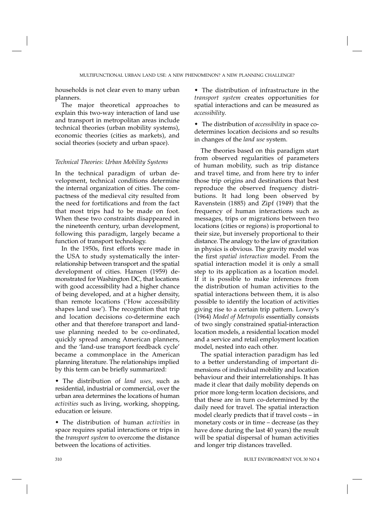households is not clear even to many urban planners.

The major theoretical approaches to explain this two-way interaction of land use and transport in metropolitan areas include technical theories (urban mobility systems), economic theories (cities as markets), and social theories (society and urban space).

### *Technical Theories: Urban Mobility Systems*

In the technical paradigm of urban development, technical conditions determine the internal organization of cities. The compactness of the medieval city resulted from the need for fortifications and from the fact that most trips had to be made on foot. When these two constraints disappeared in the nineteenth century, urban development, following this paradigm, largely became a function of transport technology.

In the 1950s, first efforts were made in the USA to study systematically the interrelationship between transport and the spatial de velopment of cities. Hansen (1959) demonstrated for Washington DC, that locations with good accessibility had a higher chance of being developed, and at a higher density, than remote locations ('How accessibility shapes land use'). The recognition that trip and location decisions co-determine each other and that therefore transport and landuse planning needed to be co-ordinated, quickly spread among American planners, and the 'land-use transport feedback cycle' became a commonplace in the American planning literature. The relationships implied by this term can be briefly summarized:

 The distribution of *land uses*, such as residential, industrial or commercial, over the urban area determines the locations of human *activities* such as living, working, shopping, education or leisure.

 The distribution of human *activities* in space requires spatial interactions or trips in the *transport system* to overcome the distance between the locations of activities.

 The distribution of infrastructure in the *transport system* creates opportunities for spatial interactions and can be measured as *accessi bility*.

 The distribution of *accessibility* in space codetermines location decisions and so results in changes of the *land use* system.

The theories based on this paradigm start from observed regularities of parameters of human mobility, such as trip distance and travel time, and from here try to infer those trip origins and destinations that best reproduce the observed frequency distributions. It had long been observed by Ravenstein (1885) and Zipf (1949) that the frequency of human interactions such as messages, trips or migrations between two locations (cities or regions) is proportional to their size, but inversely proportional to their distance. The analogy to the law of gravitation in physics is obvious. The gravity model was the first *spatial interaction* model. From the spatial interaction model it is only a small step to its application as a location model. If it is possible to make inferences from the distribution of human activities to the spatial interactions between them, it is also possible to identify the location of activities giving rise to a certain trip pattern. Lowry's (1964) *Model of Metropolis* essentially consists of two singly constrained spatial-interaction location models, a residential location model and a service and retail employment location model, nested into each other.

The spatial interaction paradigm has led to a better understanding of important dimensions of individual mobility and location be haviour and their interrelationships. It has made it clear that daily mobility depends on prior more long-term location decisions, and that these are in turn co-determined by the daily need for travel. The spatial interaction model clearly predicts that if travel costs – in monetary costs or in time – decrease (as they have done during the last 40 years) the result will be spatial dispersal of human activities and longer trip distances travelled.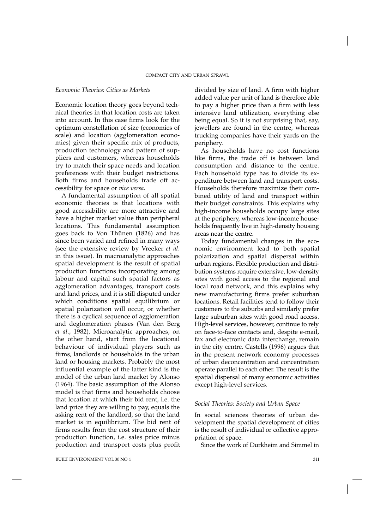#### *Economic Theories: Cities as Markets*

Economic location theory goes beyond technical theories in that location costs are taken into account. In this case firms look for the optimum constellation of size (economies of scale) and location (agglomeration economies) given their specific mix of products, production technology and pattern of suppliers and customers, whereas households try to match their space needs and location preferences with their budget restrictions. Both firms and households trade off accessibility for space or *vice versa*.

A fundamental assumption of all spatial economic theories is that locations with good accessibility are more attractive and have a higher market value than peripheral locations. This fundamental assumption goes back to Von Thünen (1826) and has since been varied and refined in many ways (see the extensive review by Vreeker *et al*. in this issue). In macroanalytic approaches spatial development is the result of spatial production functions incorporating among labour and capital such spatial factors as agglomeration advantages, transport costs and land prices, and it is still disputed under which conditions spatial equilibrium or spatial polarization will occur, or whether there is a cyclical sequence of agglomeration and deglomeration phases (Van den Berg *et al.*, 1982). Microanalytic approaches, on the other hand, start from the locational behaviour of individual players such as firms, landlords or households in the urban land or housing markets. Probably the most influential example of the latter kind is the model of the urban land market by Alonso  $(1964)$ . The basic assumption of the Alonso model is that firms and households choose that location at which their bid rent, i.e. the land price they are willing to pay, equals the asking rent of the landlord, so that the land market is in equilibrium. The bid rent of firms results from the cost structure of their production function, i.e. sales price minus production and transport costs plus profit

divided by size of land. A firm with higher added value per unit of land is therefore able to pay a higher price than a firm with less intensive land utilization, everything else being equal. So it is not surprising that, say, jewellers are found in the centre, whereas trucking companies have their yards on the periphery.

As households have no cost functions like firms, the trade off is between land consumption and distance to the centre. Each household type has to divide its expenditure between land and transport costs. Households therefore maximize their combined utility of land and transport within their budget constraints. This explains why high-income households occupy large sites at the periphery, whereas low-income households frequently live in high-density housing areas near the centre.

Today fundamental changes in the eco nomic environment lead to both spatial polarization and spatial dispersal within urban regions. Flexible production and distribution systems require extensive, low-density sites with good access to the regional and local road network, and this explains why new manufacturing firms prefer suburban locations. Retail facilities tend to follow their customers to the suburbs and similarly prefer large suburban sites with good road access. High-level services, however, continue to rely on face-to-face contacts and, despite e-mail, fax and electronic data interchange, remain in the city centre. Castells (1996) argues that in the present network economy processes of urban deconcentration and concentration operate parallel to each other. The result is the spatial dispersal of many economic activities except high-level services.

#### *Social Theories: Society and Urban Space*

In social sciences theories of urban development the spatial development of cities is the result of individual or collective appro priation of space.

Since the work of Durkheim and Simmel in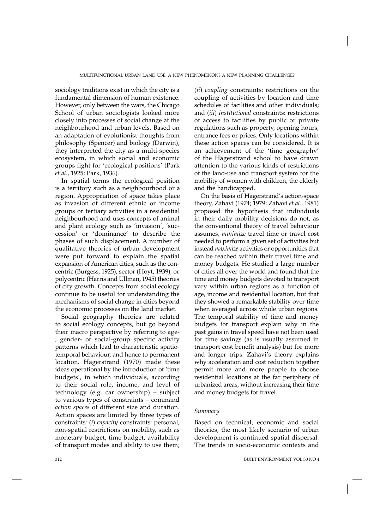sociology traditions exist in which the city is a fundamental dimension of human existence. However, only between the wars, the Chicago School of urban sociologists looked more closely into processes of social change at the neighbourhood and urban levels. Based on an adaptation of evolutionist thoughts from philosophy (Spencer) and biology (Darwin), they interpreted the city as a multi-species ecosystem, in which social and economic groups fight for 'ecological positions' (Park *et al*., 1925; Park, 1936).

In spatial terms the ecological position is a territory such as a neighbourhood or a region. Appropriation of space takes place as invasion of different ethnic or income groups or tertiary activities in a residential neighbourhood and uses concepts of animal and plant ecology such as 'invasion', 'succession' or 'dominance' to describe the phases of such displacement. A number of qualitative theories of urban development were put forward to explain the spatial expansion of American cities, such as the con centric (Burgess, 1925), sector (Hoyt, 1939), or polycentric (Harris and Ullman, 1945) theories of city growth. Concepts from social ecology continue to be useful for understanding the mechanisms of social change in cities beyond the economic processes on the land market.

Social geography theories are related to social ecology concepts, but go beyond their macro perspective by referring to age- , gender- or social-group specific activity patterns which lead to characteristic spatiotemporal behaviour, and hence to permanent location. Hägerstrand (1970) made these ideas operational by the introduction of 'time budgets', in which individuals, according to their social role, income, and level of technology (e.g. car ownership) – subject to various types of constraints – command *action spaces* of different size and duration. Action spaces are limited by three types of constraints: (*i*) *capacity* constraints: personal, non-spatial restrictions on mobility, such as monetary budget, time budget, availability of transport modes and ability to use them;

(*ii*) *coupling* constraints: restrictions on the coupling of activities by location and time schedules of facilities and other individuals; and (*iii*) *institutional* constraints: restrictions of access to facilities by public or private regulations such as property, opening hours, entrance fees or prices. Only locations within these action spaces can be considered. It is an achievement of the 'time geography' of the Hagerstrand school to have drawn attention to the various kinds of restrictions of the land-use and transport system for the mobility of women with children, the elderly and the handicapped.

On the basis of Hägerstrand's action-space theory, Zahavi (1974; 1979; Zahavi *et al*., 1981) proposed the hypothesis that individuals in their daily mobility decisions do not, as the conventional theory of travel behaviour assumes, *minimize* travel time or travel cost needed to perform a given set of activities but instead *maximize* activities or opportunities that can be reached within their travel time and money budgets. He studied a large number of cities all over the world and found that the time and money budgets devoted to transport vary within urban regions as a function of age, income and residential location, but that they showed a remarkable stability over time when averaged across whole urban regions. The temporal stability of time and money budgets for transport explain why in the past gains in travel speed have not been used for time savings (as is usually assumed in transport cost benefit analysis) but for more and longer trips. Zahavi's theory explains why acceleration and cost reduction together permit more and more people to choose residential locations at the far periphery of urbanized areas, without increasing their time and money budgets for travel.

#### *Summary*

Based on technical, economic and social theories, the most likely scenario of urban development is continued spatial dispersal. The trends in socio-economic contexts and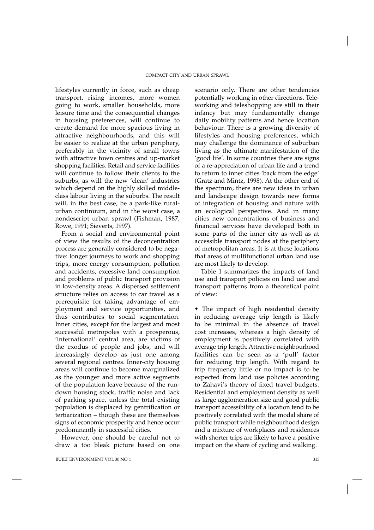lifestyles currently in force, such as cheap transport, rising incomes, more women going to work, smaller households, more leisure time and the consequential changes in housing preferences, will continue to create demand for more spacious living in attractive neighbourhoods, and this will be easier to realize at the urban periphery, preferably in the vicinity of small towns with attractive town centres and up-market shopping facilities. Retail and service facilities will continue to follow their clients to the suburbs, as will the new 'clean' industries which depend on the highly skilled middleclass labour living in the suburbs. The result will, in the best case, be a park-like ruralurban continuum, and in the worst case, a nondescript urban sprawl (Fishman, 1987; Rowe, 1991; Sieverts, 1997).

From a social and environmental point of view the results of the deconcentration process are generally considered to be negative: longer journeys to work and shopping trips, more energy consumption, pollution and accidents, excessive land consumption and problems of public transport provision in low-density areas. A dispersed settlement structure relies on access to car travel as a pre requisite for taking advantage of employment and service opportunities, and thus contributes to social segmentation. Inner cities, except for the largest and most successful metropoles with a prosperous, 'international' central area, are victims of the exodus of people and jobs, and will increasingly develop as just one among several regional centres. Inner-city housing areas will continue to become marginalized as the younger and more active segments of the population leave because of the rundown housing stock, traffic noise and lack of parking space, unless the total existing population is displaced by gentrification or tertiarization – though these are themselves signs of economic prosperity and hence occur predominantly in successful cities.

However, one should be careful not to draw a too bleak picture based on one scenario only. There are other tendencies potentially working in other directions. Teleworking and teleshopping are still in their infancy but may fundamentally change daily mobility patterns and hence location behaviour. There is a growing diversity of lifestyles and housing preferences, which may challenge the dominance of suburban living as the ultimate manifestation of the 'good life'. In some countries there are signs of a re-appreciation of urban life and a trend to return to inner cities 'back from the edge' (Gratz and Mintz, 1998). At the other end of the spectrum, there are new ideas in urban and landscape design towards new forms of integration of housing and nature with an ecological perspective. And in many cities new concentrations of business and financial services have developed both in some parts of the inner city as well as at accessible transport nodes at the periphery of metropolitan areas. It is at these locations that areas of multifunctional urban land use are most likely to develop.

Table 1 summarizes the impacts of land use and transport policies on land use and transport patterns from a theoretical point of view:

 The impact of high residential density in reducing average trip length is likely to be minimal in the absence of travel cost increases, whereas a high density of employment is positively correlated with average trip length. Attractive neighbourhood facilities can be seen as a 'pull' factor for reducing trip length. With regard to trip frequency little or no impact is to be expected from land use policies according to Zahavi's theory of fixed travel budgets. Residential and employment density as well as large agglomeration size and good public transport accessibility of a location tend to be positively correlated with the modal share of public transport while neighbourhood design and a mixture of workplaces and residences with shorter trips are likely to have a positive impact on the share of cycling and walking.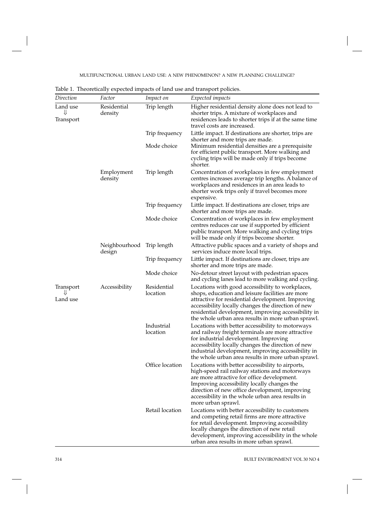# MULTIFUNCTIONAL URBAN LAND USE: A NEW PHENOMENON? A NEW PLANNING CHALLENGE?

| Direction                  | Factor                  | Impact on               | Expected impacts                                                                                                                                                                                                                                                                                                             |
|----------------------------|-------------------------|-------------------------|------------------------------------------------------------------------------------------------------------------------------------------------------------------------------------------------------------------------------------------------------------------------------------------------------------------------------|
| Land use<br>⇓<br>Transport | Residential<br>density  | Trip length             | Higher residential density alone does not lead to<br>shorter trips. A mixture of workplaces and<br>residences leads to shorter trips if at the same time<br>travel costs are increased.                                                                                                                                      |
|                            |                         | Trip frequency          | Little impact. If destinations are shorter, trips are                                                                                                                                                                                                                                                                        |
|                            |                         | Mode choice             | shorter and more trips are made.<br>Minimum residential densities are a prerequisite<br>for efficient public transport. More walking and<br>cycling trips will be made only if trips become<br>shorter.                                                                                                                      |
|                            | Employment<br>density   | Trip length             | Concentration of workplaces in few employment<br>centres increases average trip lengths. A balance of<br>workplaces and residences in an area leads to<br>shorter work trips only if travel becomes more<br>expensive.                                                                                                       |
|                            |                         | Trip frequency          | Little impact. If destinations are closer, trips are<br>shorter and more trips are made.                                                                                                                                                                                                                                     |
|                            |                         | Mode choice             | Concentration of workplaces in few employment<br>centres reduces car use if supported by efficient<br>public transport. More walking and cycling trips<br>will be made only if trips become shorter.                                                                                                                         |
|                            | Neighbourhood<br>design | Trip length             | Attractive public spaces and a variety of shops and<br>services induce more local trips.                                                                                                                                                                                                                                     |
|                            |                         | Trip frequency          | Little impact. If destinations are closer, trips are<br>shorter and more trips are made.                                                                                                                                                                                                                                     |
|                            |                         | Mode choice             | No-detour street layout with pedestrian spaces<br>and cycling lanes lead to more walking and cycling.                                                                                                                                                                                                                        |
| Transport<br>Land use      | Accessibility           | Residential<br>location | Locations with good accessibility to workplaces,<br>shops, education and leisure facilities are more<br>attractive for residential development. Improving<br>accessibility locally changes the direction of new<br>residential development, improving accessibility in<br>the whole urban area results in more urban sprawl. |
|                            |                         | Industrial<br>location  | Locations with better accessibility to motorways<br>and railway freight terminals are more attractive<br>for industrial development. Improving<br>accessibility locally changes the direction of new<br>industrial development, improving accessibility in<br>the whole urban area results in more urban sprawl.             |
|                            |                         | Office location         | Locations with better accessibility to airports,<br>high-speed rail railway stations and motorways<br>are more attractive for office development.<br>Improving accessibility locally changes the<br>direction of new office development, improving<br>accessibility in the whole urban area results in<br>more urban sprawl. |
|                            |                         | Retail location         | Locations with better accessibility to customers<br>and competing retail firms are more attractive<br>for retail development. Improving accessibility<br>locally changes the direction of new retail<br>development, improving accessibility in the whole<br>urban area results in more urban sprawl.                        |

Table 1. Theoretically expected impacts of land use and transport policies.

314 BUILT ENVIRONMENT VOL 30 NO 4

I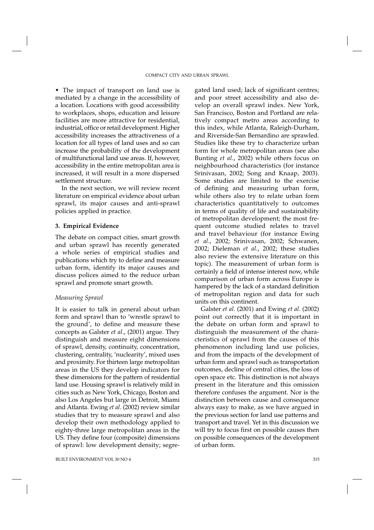• The impact of transport on land use is mediated by a change in the accessibility of a location. Locations with good accessibility to workplaces, shops, education and leisure facilities are more attractive for residential, industrial, office or retail development. Higher accessibility increases the attractiveness of a location for all types of land uses and so can increase the probability of the development of multifunctional land use areas. If, however, accessibility in the entire metropolitan area is increased, it will result in a more dispersed settlement structure.

In the next section, we will review recent literature on empirical evidence about urban sprawl, its major causes and anti-sprawl policies applied in practice.

#### **3. Empirical Evidence**

The debate on compact cities, smart growth and urban sprawl has recently generated a whole series of empirical studies and publications which try to define and measure urban form, identify its major causes and discuss polices aimed to the reduce urban sprawl and promote smart growth.

#### *Measuring Sprawl*

It is easier to talk in general about urban form and sprawl than to 'wrestle sprawl to the ground', to define and measure these concepts as Galster *et al*., (2001) argue. They distinguish and measure eight dimensions of sprawl, density, continuity, concentration, clustering, centrality, 'nuclearity', mixed uses and proximity. For thirteen large metropolitan areas in the US they develop indicators for these dimensions for the pattern of residential land use. Housing sprawl is relatively mild in cities such as New York, Chicago, Boston and also Los Angeles but large in Detroit, Miami and Atlanta. Ewing *et al*. (2002) review similar studies that try to measure sprawl and also develop their own methodology applied to eighty-three large metropolitan areas in the US. They define four (composite) dimensions of sprawl: low development density; segregated land used; lack of significant centres; and poor street accessibility and also develop an overall sprawl index. New York, San Francisco, Boston and Portland are relatively compact metro areas according to this index, while Atlanta, Raleigh-Durham, and Riverside-San Bernardino are sprawled. Studies like these try to characterize urban form for whole metropolitan areas (see also Bunting *et al*., 2002) while others focus on neighbourhood characteristics (for instance Srinivasan, 2002; Song and Knaap, 2003). Some studies are limited to the exercise of defining and measuring urban form, while others also try to relate urban form characteristics quantitatively to outcomes in terms of quality of life and sustainability of metropolitan development; the most frequent outcome studied relates to travel and travel behaviour (for instance Ewing *et al*., 2002; Srinivasan, 2002; Schwanen, 2002; Dieleman *et al*., 2002; these studies also review the extensive literature on this topic). The measurement of urban form is certainly a field of intense interest now, while comparison of urban form across Europe is hampered by the lack of a standard definition of metropolitan region and data for such units on this continent.

Galster *et al*. (2001) and Ewing *et al*. (2002) point out correctly that it is important in the debate on urban form and sprawl to distinguish the measurement of the characteristics of sprawl from the causes of this phenomenon including land use policies, and from the impacts of the development of urban form and sprawl such as transportation outcomes, decline of central cities, the loss of open space etc. This distinction is not always present in the literature and this omission therefore confuses the argument. Nor is the distinction between cause and consequence always easy to make, as we have argued in the previous section for land use patterns and transport and travel. Yet in this discussion we will try to focus first on possible causes then on possible consequences of the development of urban form.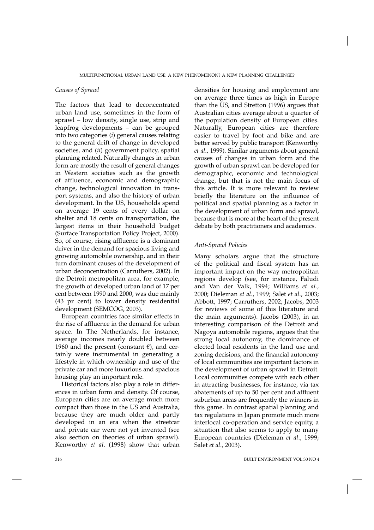#### *Causes of Sprawl*

The factors that lead to deconcentrated urban land use, sometimes in the form of sprawl – low density, single use, strip and leapfrog developments – can be grouped into two categories (*i*) general causes relating to the general drift of change in developed societies, and (*ii*) government policy, spatial planning related. Naturally changes in urban form are mostly the result of general changes in Western societies such as the growth of affluence, economic and demographic change, technological innovation in transport systems, and also the history of urban development. In the US, households spend on average 19 cents of every dollar on shelter and 18 cents on transportation, the largest items in their household budget (Surface Transportation Policy Project, 2000). So, of course, rising affluence is a dominant driver in the demand for spacious living and growing automobile ownership, and in their turn dominant causes of the development of urban deconcentration (Carruthers, 2002). In the Detroit metropolitan area, for example, the growth of developed urban land of 17 per cent between 1990 and 2000, was due mainly (43 pr cent) to lower density residential development (SEMCOG, 2003).

European countries face similar effects in the rise of affluence in the demand for urban space. In The Netherlands, for instance, average incomes nearly doubled between 1960 and the present (constant  $\epsilon$ ), and certainly were instrumental in generating a lifestyle in which ownership and use of the private car and more luxurious and spacious housing play an important role.

Historical factors also play a role in differences in urban form and density. Of course, European cities are on average much more compact than those in the US and Australia, because they are much older and partly developed in an era when the streetcar and private car were not yet invented (see also section on theories of urban sprawl). Kenworthy *et al*. (1998) show that urban

densities for housing and employment are on average three times as high in Europe than the US, and Stretton (1996) argues that Australian cities average about a quarter of the population density of European cities. Naturally, European cities are therefore easier to travel by foot and bike and are better served by public transport (Kenworthy *et al*., 1999). Similar arguments about general causes of changes in urban form and the growth of urban sprawl can be developed for demographic, economic and technological change, but that is not the main focus of this article. It is more relevant to review briefly the literature on the influence of political and spatial planning as a factor in the development of urban form and sprawl, because that is more at the heart of the present debate by both practitioners and academics.

#### *Anti-Sprawl Policies*

Many scholars argue that the structure of the political and fiscal system has an important impact on the way metropolitan regions develop (see, for instance, Faludi and Van der Valk, 1994; Williams *et al*., 2000; Dieleman *et al*., 1999; Salet *et al*., 2003; Abbott, 1997; Carruthers, 2002; Jacobs, 2003 for reviews of some of this literature and the main arguments). Jacobs (2003), in an interesting comparison of the Detroit and Nagoya automobile regions, argues that the strong local autonomy, the dominance of elected local residents in the land use and zoning decisions, and the financial autonomy of local communities are important factors in the development of urban sprawl in Detroit. Local communities compete with each other in attracting businesses, for instance, via tax abatements of up to 50 per cent and affluent suburban areas are frequently the winners in this game. In contrast spatial planning and tax regulations in Japan promote much more interlocal co-operation and service equity, a situation that also seems to apply to many European countries (Dieleman *et al*., 1999; Salet *et al*., 2003).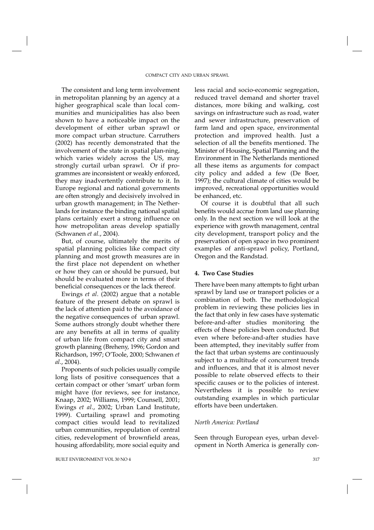The consistent and long term involvement in metropolitan planning by an agency at a higher geographical scale than local communities and municipalities has also been shown to have a noticeable impact on the development of either urban sprawl or more compact urban structure. Carruthers (2002) has recently demonstrated that the involvement of the state in spatial plan-ning, which varies widely across the US, may strongly curtail urban sprawl. Or if programmes are inconsistent or weakly enforced, they may inadvertently contribute to it. In Europe regional and national governments are often strongly and decisively involved in urban growth management; in The Netherlands for instance the binding national spatial plans certainly exert a strong influence on how metropolitan areas develop spatially (Schwanen *et al.*, 2004).

But, of course, ultimately the merits of spatial planning policies like compact city planning and most growth measures are in the first place not dependent on whether or how they can or should be pursued, but should be evaluated more in terms of their beneficial consequences or the lack thereof.

Ewings *et al*. (2002) argue that a notable feature of the present debate on sprawl is the lack of attention paid to the avoidance of the negative consequences of urban sprawl. Some authors strongly doubt whether there are any benefits at all in terms of quality of urban life from compact city and smart growth planning (Breheny, 1996; Gordon and Richardson, 1997; O'Toole, 2000; Schwanen *et al*., 2004).

Proponents of such policies usually compile long lists of positive consequences that a certain compact or other 'smart' urban form might have (for reviews, see for instance, Knaap, 2002; Williams, 1999; Counsell, 2001; Ewings *et al*., 2002; Urban Land Institute, 1999). Curtailing sprawl and promoting compact cities would lead to revitalized urban communities, repopulation of central cities, redevelopment of brownfield areas, housing affordability, more social equity and

less racial and socio-economic segregation, reduced travel demand and shorter travel distances, more biking and walking, cost savings on infrastructure such as road, water and sewer infrastructure, preservation of farm land and open space, environmental protection and improved health. Just a selection of all the benefits mentioned. The Minister of Housing, Spatial Planning and the Environment in The Netherlands mentioned all these items as arguments for compact city policy and added a few (De Boer, 1997); the cultural climate of cities would be improved, recreational opportunities would be enhanced, etc.

Of course it is doubtful that all such benefits would accrue from land use planning only. In the next section we will look at the experience with growth management, central city development, transport policy and the preservation of open space in two prominent examples of anti-sprawl policy, Portland, Oregon and the Randstad.

#### **4. Two Case Studies**

There have been many attempts to fight urban sprawl by land use or transport policies or a combination of both. The methodological problem in reviewing these policies lies in the fact that only in few cases have systematic before-and-after studies monitoring the effects of these policies been conducted. But even where before-and-after studies have been attempted, they inevitably suffer from the fact that urban systems are continuously subject to a multitude of concurrent trends and influences, and that it is almost never possible to relate observed effects to their specific causes or to the policies of interest. Nevertheless it is possible to review outstanding examples in which particular efforts have been undertaken.

# *North America: Portland*

Seen through European eyes, urban development in North America is generally con-

BUILT ENVIRONMENT VOL 30 NO 4 317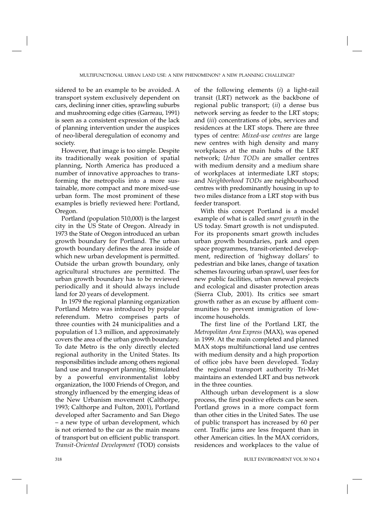sidered to be an example to be avoided. A transport system exclusively dependent on cars, declining inner cities, sprawling suburbs and mushrooming edge cities (Garreau, 1991) is seen as a consistent expression of the lack of planning intervention under the auspices of neo-liberal deregulation of economy and society.

However, that image is too simple. Despite its traditionally weak position of spatial planning, North America has produced a number of innovative approaches to transforming the metropolis into a more sustainable, more compact and more mixed-use urban form. The most prominent of these examples is briefly reviewed here: Portland, Oregon.

Portland (population 510,000) is the largest city in the US State of Oregon. Already in 1973 the State of Oregon introduced an urban growth boundary for Portland. The urban growth boundary defines the area inside of which new urban development is permitted. Outside the urban growth boundary, only agricultural structures are permitted. The urban growth boundary has to be reviewed periodically and it should always include land for 20 years of development.

In 1979 the regional planning organization Portland Metro was introduced by popular referendum. Metro comprises parts of three counties with 24 municipalities and a population of 1.3 million, and approximately covers the area of the urban growth boundary. To date Metro is the only directly elected regional authority in the United States. Its responsibilities include among others regional land use and transport planning. Stimulated by a powerful environmentalist lobby organization, the 1000 Friends of Oregon, and strongly influenced by the emerging ideas of the New Urbanism movement (Calthorpe, 1993; Calthorpe and Fulton, 2001), Portland developed after Sacramento and San Diego – a new type of urban development, which is not oriented to the car as the main means of transport but on efficient public transport. *Transit-Oriented Development* (TOD) consists

of the following elements (*i*) a light-rail transit (LRT) network as the backbone of regional public transport; (*ii*) a dense bus network serving as feeder to the LRT stops; and (*iii*) concentrations of jobs, services and residences at the LRT stops. There are three types of centre: *Mixed-use centres* are large new centres with high density and many workplaces at the main hubs of the LRT network; *Urban TODs* are smaller centres with medium density and a medium share of workplaces at intermediate LRT stops; and *Neighborhood TODs* are neighbourhood centres with predominantly housing in up to two miles distance from a LRT stop with bus feeder transport.

With this concept Portland is a model example of what is called *smart growth* in the US today. Smart growth is not undisputed. For its proponents smart growth includes urban growth boundaries, park and open space programmes, transit-oriented development, redirection of 'highway dollars' to pedestrian and bike lanes, change of taxation schemes favouring urban sprawl, user fees for new public facilities, urban renewal projects and ecological and disaster protection areas (Sierra Club, 2001). Its critics see smart growth rather as an excuse by affluent communities to prevent immigration of lowincome households.

The first line of the Portland LRT, the *Metropolitan Area Express* (MAX), was opened in 1999. At the main completed and planned MAX stops multifunctional land use centres with medium density and a high proportion of office jobs have been developed. Today the regional transport authority Tri-Met maintains an extended LRT and bus network in the three counties.

Although urban development is a slow process, the first positive effects can be seen. Portland grows in a more compact form than other cities in the United Sates. The use of public transport has increased by 60 per cent. Traffic jams are less frequent than in other American cities. In the MAX corridors, residences and workplaces to the value of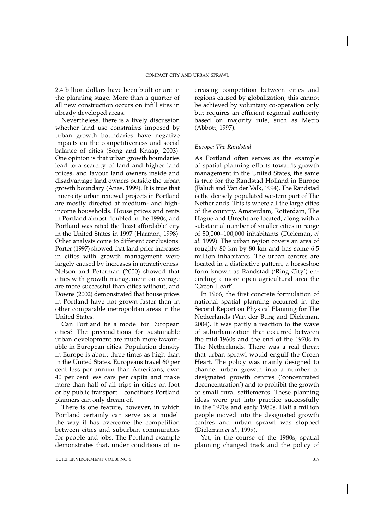2.4 billion dollars have been built or are in the planning stage. More than a quarter of all new construction occurs on infill sites in already developed areas.

Nevertheless, there is a lively discussion whether land use constraints imposed by urban growth boundaries have negative impacts on the competitiveness and social balance of cities (Song and Knaap, 2003). One opinion is that urban growth boundaries lead to a scarcity of land and higher land prices, and favour land owners inside and disadvantage land owners outside the urban growth boundary (Anas, 1999). It is true that inner-city urban renewal projects in Portland are mostly directed at medium- and highincome households. House prices and rents in Portland almost doubled in the 1990s, and Portland was rated the 'least affordable' city in the United States in 1997 (Harmon, 1998). Other analysts come to different conclusions. Porter (1997) showed that land price increases in cities with growth management were largely caused by increases in attractiveness. Nelson and Peterman (2000) showed that cities with growth management on average are more successful than cities without, and Downs (2002) demonstrated that house prices in Portland have not grown faster than in other comparable metropolitan areas in the United States.

Can Portland be a model for European cities? The preconditions for sustainable urban development are much more favourable in European cities. Population density in Europe is about three times as high than in the United States. Europeans travel 60 per cent less per annum than Americans, own 40 per cent less cars per capita and make more than half of all trips in cities on foot or by public transport – conditions Portland planners can only dream of.

There is one feature, however, in which Portland certainly can serve as a model: the way it has overcome the competition between cities and suburban communities for people and jobs. The Portland example demonstrates that, under conditions of increasing competition between cities and regions caused by globalization, this cannot be achieved by voluntary co-operation only but requires an efficient regional authority based on majority rule, such as Metro (Abbott, 1997).

#### *Europe: The Randstad*

As Portland often serves as the example of spatial planning efforts towards growth management in the United States, the same is true for the Randstad Holland in Europe (Faludi and Van der Valk, 1994). The Randstad is the densely populated western part of The Netherlands. This is where all the large cities of the country, Amsterdam, Rotterdam, The Hague and Utrecht are located, along with a substantial number of smaller cities in range of 50,000–100,000 inhabitants (Dieleman, *et al*. 1999). The urban region covers an area of roughly 80 km by 80 km and has some 6.5 million inhabitants. The urban centres are located in a distinctive pattern, a horseshoe form known as Randstad ('Ring City') encircling a more open agricultural area the 'Green Heart'.

In 1966, the first concrete formulation of national spatial planning occurred in the Second Report on Physical Planning for The Netherlands (Van der Burg and Dieleman, 2004). It was partly a reaction to the wave of suburbanization that occurred between the mid-1960s and the end of the 1970s in The Netherlands. There was a real threat that urban sprawl would engulf the Green Heart. The policy was mainly designed to channel urban growth into a number of designated growth centres ('concentrated deconcentration') and to prohibit the growth of small rural settlements. These planning ideas were put into practice successfully in the 1970s and early 1980s. Half a million people moved into the designated growth centres and urban sprawl was stopped (Dieleman *et al*., 1999).

Yet, in the course of the 1980s, spatial planning changed track and the policy of

BUILT ENVIRONMENT VOL 30 NO 4 319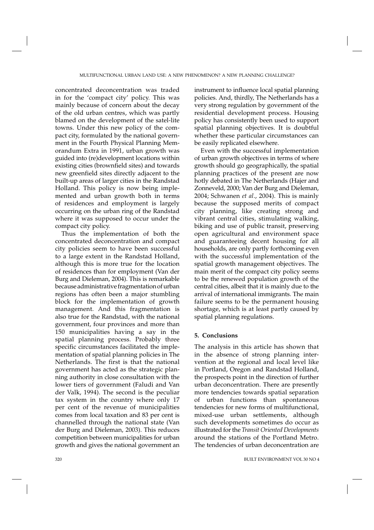concentrated deconcentration was traded in for the 'compact city' policy. This was mainly because of concern about the decay of the old urban centres, which was partly blamed on the development of the satel-lite towns. Under this new policy of the compact city, formulated by the national government in the Fourth Physical Planning Memorandum Extra in 1991, urban growth was guided into (re)development locations within existing cities (brownfield sites) and towards new greenfield sites directly adjacent to the built-up areas of larger cities in the Randstad Holland. This policy is now being implemented and urban growth both in terms of residences and employment is largely occurring on the urban ring of the Randstad where it was supposed to occur under the compact city policy.

Thus the implementation of both the concentrated deconcentration and compact city policies seem to have been successful to a large extent in the Randstad Holland, although this is more true for the location of residences than for employment (Van der Burg and Dieleman, 2004). This is remarkable because administrative fragmentation of urban regions has often been a major stumbling block for the implementation of growth management. And this fragmentation is also true for the Randstad, with the national government, four provinces and more than 150 municipalities having a say in the spatial planning process. Probably three specific circumstances facilitated the implementation of spatial planning policies in The Netherlands. The first is that the national government has acted as the strategic planning authority in close consultation with the lower tiers of government (Faludi and Van der Valk, 1994). The second is the peculiar tax system in the country where only 17 per cent of the revenue of municipalities comes from local taxation and 83 per cent is channelled through the national state (Van der Burg and Dieleman, 2003). This reduces competition between municipalities for urban growth and gives the national government an

instrument to influence local spatial planning policies. And, thirdly, The Netherlands has a very strong regulation by government of the residential development process. Housing policy has consistently been used to support spatial planning objectives. It is doubtful whether these particular circumstances can be easily replicated elsewhere.

Even with the successful implementation of urban growth objectives in terms of where growth should go geographically, the spatial planning practices of the present are now hotly debated in The Netherlands (Hajer and Zonneveld, 2000; Van der Burg and Dieleman, 2004; Schwanen *et al*., 2004). This is mainly because the supposed merits of compact city planning, like creating strong and vibrant central cities, stimulating walking, biking and use of public transit, preserving open agricultural and environment space and guaranteeing decent housing for all households, are only partly forthcoming even with the successful implementation of the spatial growth management objectives. The main merit of the compact city policy seems to be the renewed population growth of the central cities, albeit that it is mainly due to the arrival of international immigrants. The main failure seems to be the permanent housing shortage, which is at least partly caused by spatial planning regulations.

## **5. Conclusions**

The analysis in this article has shown that in the absence of strong planning intervention at the regional and local level like in Portland, Oregon and Randstad Holland, the prospects point in the direction of further urban deconcentration. There are presently more tendencies towards spatial separation of urban functions than spontaneous tendencies for new forms of multifunctional, mixed-use urban settlements, although such developments sometimes do occur as illustrated for the *Transit Oriented Developments* around the stations of the Portland Metro. The tendencies of urban deconcentration are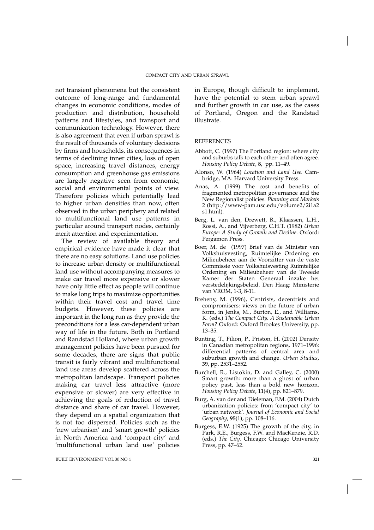not transient phenomena but the consistent outcome of long-range and fundamental changes in economic conditions, modes of production and distribution, household patterns and lifestyles, and transport and communication technology. However, there is also agreement that even if urban sprawl is the result of thousands of voluntary decisions by firms and households, its consequences in terms of declining inner cities, loss of open space, increasing travel distances, energy consumption and greenhouse gas emissions are largely negative seen from economic, social and environmental points of view. Therefore policies which potentially lead to higher urban densities than now, often observed in the urban periphery and related to multifunctional land use patterns in particular around transport nodes, certainly merit attention and experimentation.

The review of available theory and empirical evidence have made it clear that there are no easy solutions. Land use policies to increase urban density or multifunctional land use without accompanying measures to make car travel more expensive or slower have only little effect as people will continue to make long trips to maximize opportunities within their travel cost and travel time budgets. However, these policies are important in the long run as they provide the preconditions for a less car-dependent urban way of life in the future. Both in Portland and Randstad Holland, where urban growth management policies have been pursued for some decades, there are signs that public transit is fairly vibrant and multifunctional land use areas develop scattered across the metropolitan landscape. Transport policies making car travel less attractive (more expensive or slower) are very effective in achieving the goals of reduction of travel distance and share of car travel. However, they depend on a spatial organization that is not too dispersed. Policies such as the 'new urbanism' and 'smart growth' policies in North America and 'compact city' and 'multifunctional urban land use' policies

in Europe, though difficult to implement, have the potential to stem urban sprawl and further growth in car use, as the cases of Portland, Oregon and the Randstad illustrate.

#### **REFERENCES**

- Abbott, C. (1997) The Portland region: where city and suburbs talk to each other- and often agree. *Housing Policy Debate*, **8**, pp. 11–49.
- Alonso, W. (1964) *Location and Land Use.* Cambridge, MA: Harvard University Press.
- Anas, A. (1999) The cost and benefits of fragmented metropolitan governance and the New Regionalist policies. *Planning and Markets*  2 (http://www-pam.usc.edu/volume2/2i1a2 s1.html).
- Berg, L. van den, Drewett, R., Klaassen, L.H., Rossi, A., and Vijverberg, C.H.T. (1982) *Urban Europe: A Study of Growth and Decline*. Oxford: Pergamon Press.
- Boer, M. de (1997) Brief van de Minister van Volkshuisvesting, Ruimtelijke Ordening en Milieubeheer aan de Voorzitter van de vaste Commissie voor Volkshuisvesting Ruimtelijke Ordening en Milieubeheer van de Tweede Kamer der Staten Generaal inzake het verstedelijkingsbeleid. Den Haag: Ministerie van VROM, 1-3, 8-11.
- Breheny, M. (1996), Centrists, decentrists and compromisers: views on the future of urban form, in Jenks, M., Burton, E., and Williams, K. (eds.) *The Compact City. A Sustainable Urban Form?* Oxford: Oxford Brookes University, pp. 13–35.
- Bunting, T., Filion, P., Priston, H. (2002) Density in Canadian metropolitan regions, 1971–1996: differential patterns of central area and suburban growth and change. *Urban Studies*, **39**, pp. 2531–2552.
- Burchell, R., Listokin, D. and Galley, C. (2000) Smart growth: more than a ghost of urban policy past, less than a bold new horizon. *Housing Policy Debate*, **11**(4), pp. 821–879.
- Burg, A. van der and Dieleman, F.M. (2004) Dutch urbanization policies: from 'compact city' to 'urban network'. *Journal of Economic and Social Geography*, **95**(1), pp. 108–116.
- Burgess, E.W. (1925) The growth of the city, in Park, R.E., Burgess, F.W. and MacKenzie, R.D. (eds.) *The City*. Chicago: Chicago University Press, pp. 47–62.

BUILT ENVIRONMENT VOL 30 NO 4 321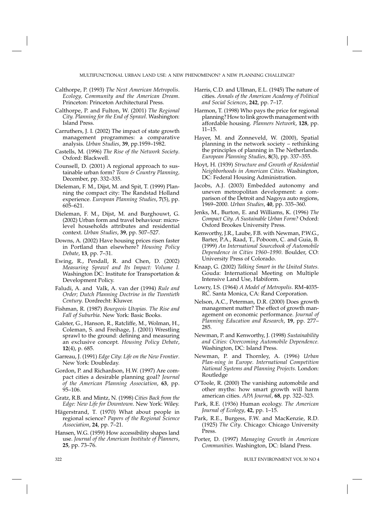MULTIFUNCTIONAL URBAN LAND USE: A NEW PHENOMENON? A NEW PLANNING CHALLENGE?

- Calthorpe, P. (1993) *The Next American Metropolis*. *Ecology, Community and the American Dream*. Princeton: Princeton Architectural Press.
- Calthorpe, P. and Fulton, W. (2001) *The Regional City. Planning for the End of Sprawl*. Washington: Island Press.
- Carruthers, J. I. (2002) The impact of state growth management programmes: a comparative analysis. *Urban Studies*, **39**, pp.1959–1982.
- Castells, M. (1996) *The Rise of the Network Society*. Oxford: Blackwell.
- Counsell, D. (2001) A regional approach to sustainable urban form? *Town & Country Planning,* December, pp. 332–335.
- Dieleman, F. M., Dijst, M. and Spit, T. (1999) Planning the compact city: The Randstad Holland experience. *European Planning Studies*, **7**(5), pp. 605–621.
- Dieleman, F. M., Dijst, M. and Burghouwt, G. (2002) Urban form and travel behaviour: microlevel households attributes and residential context. *Urban Studies*, **39**, pp. 507–527.
- Downs, A. (2002) Have housing prices risen faster in Portland than elsewhere? *Housing Policy Debate*, **13**, pp. 7–31.
- Ewing, R., Pendall, R. and Chen, D. (2002) *Measuring Sprawl and Its Impact: Volume I.* Washington DC: Institute for Transportation & Development Policy.
- Faludi, A. and Valk, A. van der (1994) *Rule and Order; Dutch Planning Doctrine in the Twentieth Century*. Dordrecht: Kluwer.
- Fishman, R. (1987) *Bourgeois Utopias. The Rise and Fall of Suburbia*. New York: Basic Books.
- Galster, G., Hanson, R., Ratcliffe, M., Wolman, H., Coleman, S. and Freihage, J. (2001) Wrestling sprawl to the ground: defining and measuring an exclusive concept. *Housing Policy Debate*, **12**(4), p. 685.
- Garreau, J. (1991) *Edge City: Life on the New Frontier*. New York: Doubleday.
- Gordon, P. and Richardson, H.W. (1997) Are compact cities a desirable planning goal? *Journal of the American Planning Association*, **63**, pp. 95–106.
- Gratz, R.B. and Mintz, N. (1998) *Cities Back from the Edge: New Life for Downtown*. New York: Wiley.
- Hägerstrand, T. (1970) What about people in regional science? *Papers of the Regional Science Association*, **24**, pp. 7–21.
- Hansen, W.G. (1959) How accessibility shapes land use. *Journal of the American Institute of Planners*, **25**, pp. 73–76.
- Harris, C.D. and Ullman, E.L. (1945) The nature of cities. *Annals of the American Academy of Political and Social Sciences*, **242**, pp. 7–17.
- Harmon, T. (1998) Who pays the price for regional planning? How to link growth management with affordable housing. *Planners Network*, **128**, pp. 11–15.
- Hayer, M. and Zonneveld, W. (2000), Spatial planning in the network society – rethinking the principles of planning in The Netherlands. *European Planning Studies*, **8**(3), pp. 337–355.
- Hoyt, H. (1939) *Structure and Growth of Residential Neighborhoods in American Cities*. Washington, DC: Federal Housing Administration.
- Jacobs, A.J. (2003) Embedded autonomy and uneven metropolitan development: a comparison of the Detroit and Nagoya auto regions, 1969–2000. *Urban Studies*, **40**, pp. 335–360.
- Jenks, M., Burton, E. and Williams, K. (1996) *The Compact City. A Sustainable Urban Form?* Oxford: Oxford Brookes University Press.
- Kenworthy, J.R., Laube, F.B. with Newman, P.W.G., Barter, P.A., Raad, T., Poboom, C. and Guia, B. (1999) *An International Sourcebook of Automobile Dependence in Cities 1960–1990*. Boulder, CO: University Press of Colorado.
- Knaap, G. (2002) *Talking Smart in the United States*. Gouda: International Meeting on Multiple Intensive Land Use, Habiform.
- Lowry, I.S. (1964) *A Model of Metropolis*. RM-4035- RC. Santa Monica, CA: Rand Corporation.
- Nelson, A.C., Peterman, D.R. (2000) Does growth management matter? The effect of growth management on economic performance. *Journal of Planning Education and Research*, **19**, pp. 277– 285.
- Newman, P. and Kenworthy, J. (1998) *Sustainability and Cities: Overcoming Automobile Dependence.* Washington, DC: Island Press.
- Newman, P. and Thornley, A. (1996) *Urban Plan-ning in Europe. International Competition National Systems and Planning Projects.* London: Routledge
- O'Toole, R. (2000) The vanishing automobile and other myths: how smart growth will harm american cities. *APA Journal*, **68**, pp. 322–323.
- Park, R.E. (1936) Human ecology. *The American Journal of Ecology*, **42**, pp. 1–15.
- Park, R.E., Burgess, F.W. and MacKenzie, R.D. (1925) *The City*. Chicago: Chicago University Press.
- Porter, D. (1997) *Managing Growth in American Communities*. Washington, DC: Island Press.

322 BUILT ENVIRONMENT VOL 30 NO 4